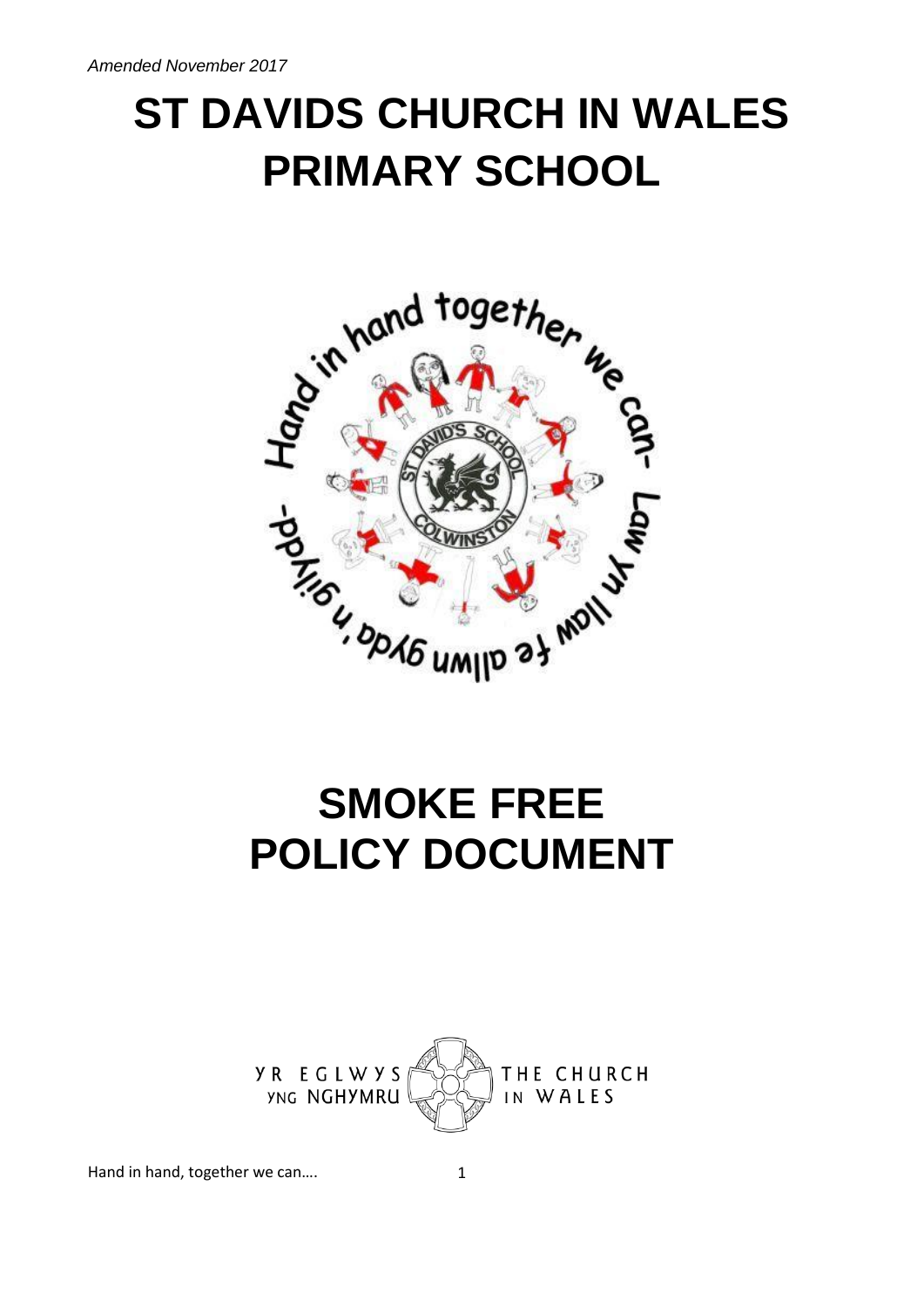# **ST DAVIDS CHURCH IN WALES PRIMARY SCHOOL**



# **SMOKE FREE POLICY DOCUMENT**



Hand in hand, together we can.... 1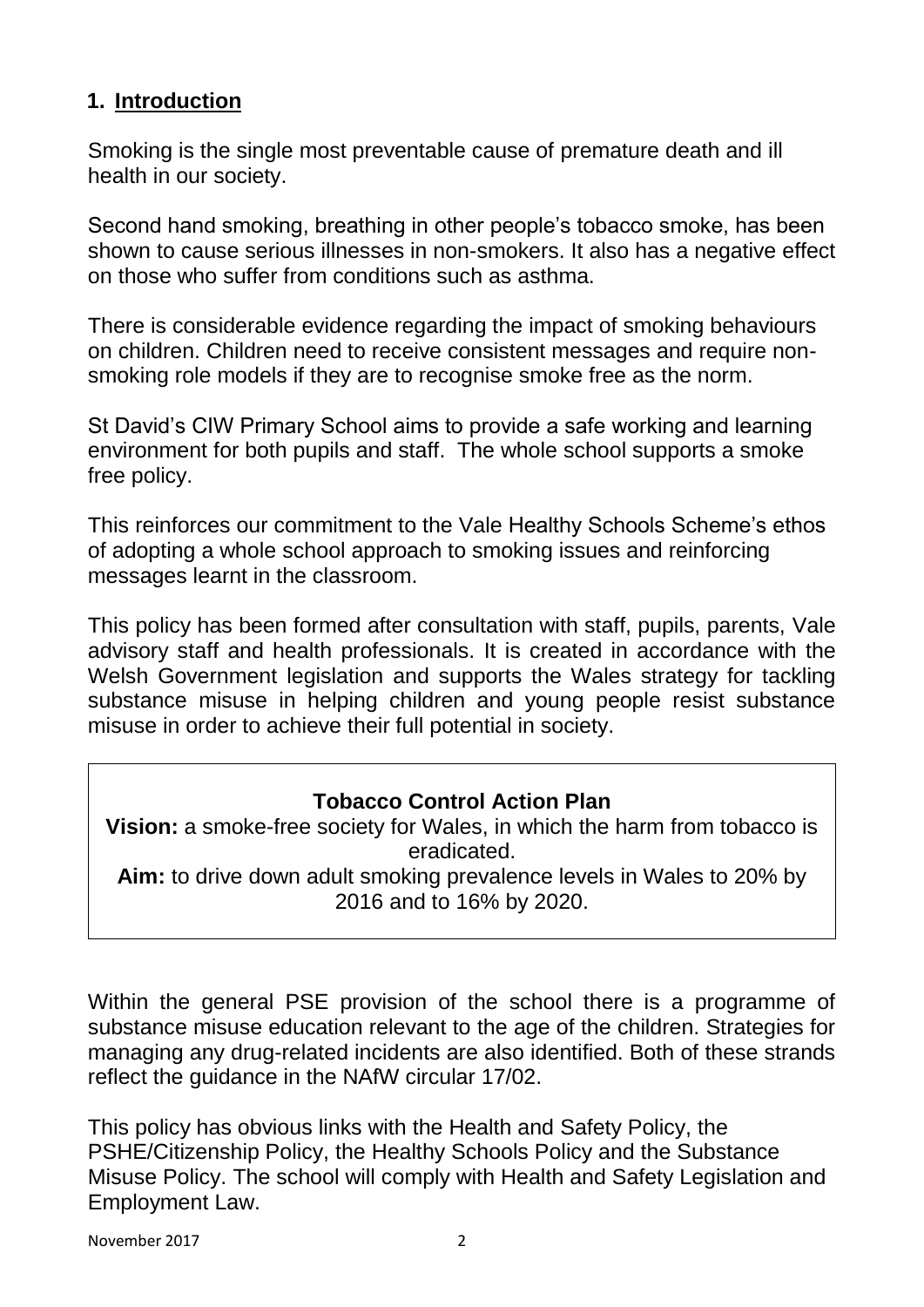## **1. Introduction**

Smoking is the single most preventable cause of premature death and ill health in our society.

Second hand smoking, breathing in other people's tobacco smoke, has been shown to cause serious illnesses in non-smokers. It also has a negative effect on those who suffer from conditions such as asthma.

There is considerable evidence regarding the impact of smoking behaviours on children. Children need to receive consistent messages and require nonsmoking role models if they are to recognise smoke free as the norm.

St David's CIW Primary School aims to provide a safe working and learning environment for both pupils and staff. The whole school supports a smoke free policy.

This reinforces our commitment to the Vale Healthy Schools Scheme's ethos of adopting a whole school approach to smoking issues and reinforcing messages learnt in the classroom.

This policy has been formed after consultation with staff, pupils, parents, Vale advisory staff and health professionals. It is created in accordance with the Welsh Government legislation and supports the Wales strategy for tackling substance misuse in helping children and young people resist substance misuse in order to achieve their full potential in society.

### **Tobacco Control Action Plan**

**Vision:** a smoke-free society for Wales, in which the harm from tobacco is eradicated. **Aim:** to drive down adult smoking prevalence levels in Wales to 20% by 2016 and to 16% by 2020.

Within the general PSE provision of the school there is a programme of substance misuse education relevant to the age of the children. Strategies for managing any drug-related incidents are also identified. Both of these strands reflect the guidance in the NAfW circular 17/02.

This policy has obvious links with the Health and Safety Policy, the PSHE/Citizenship Policy, the Healthy Schools Policy and the Substance Misuse Policy. The school will comply with Health and Safety Legislation and Employment Law.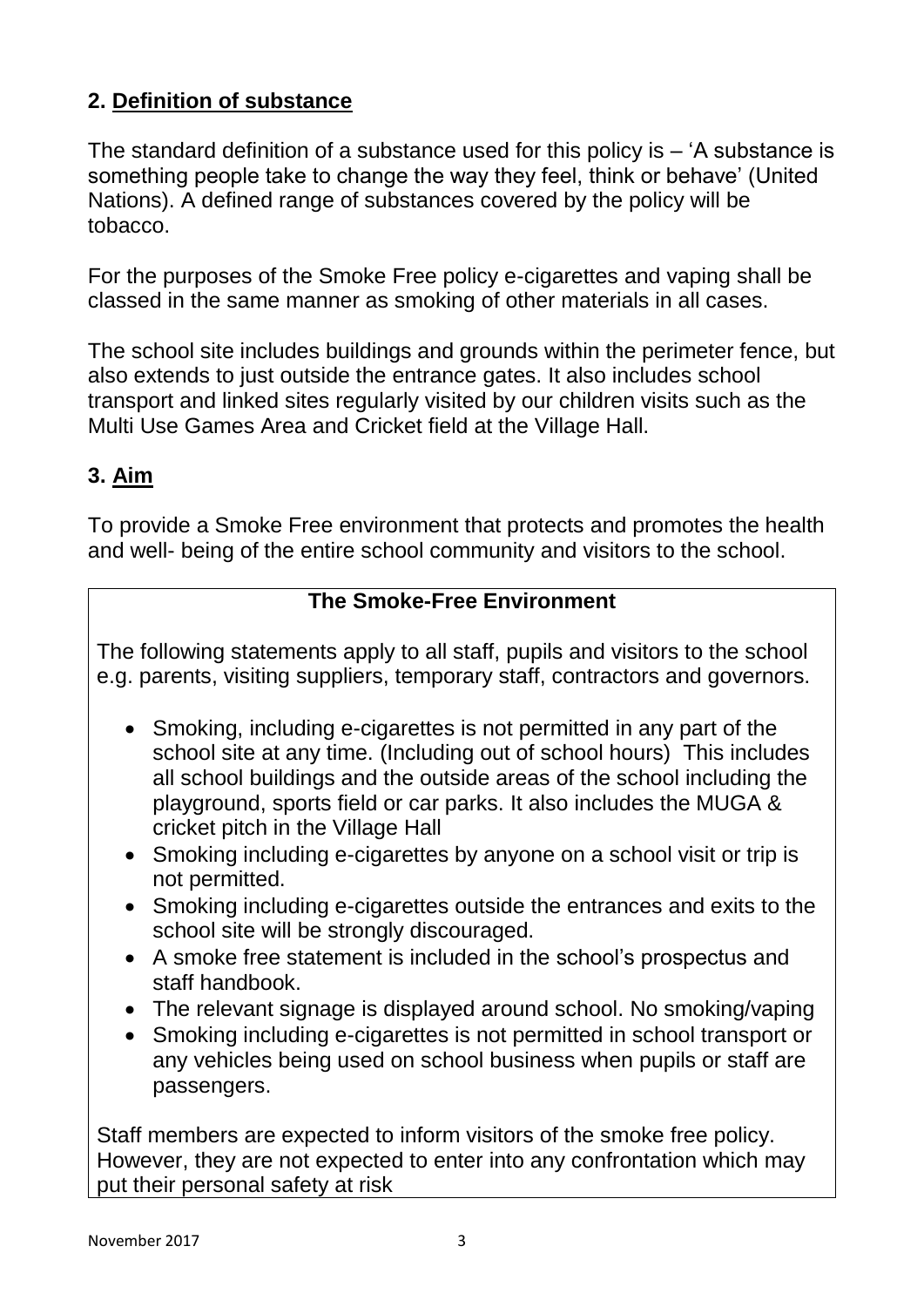# **2. Definition of substance**

The standard definition of a substance used for this policy is – 'A substance is something people take to change the way they feel, think or behave' (United Nations). A defined range of substances covered by the policy will be tobacco.

For the purposes of the Smoke Free policy e-cigarettes and vaping shall be classed in the same manner as smoking of other materials in all cases.

The school site includes buildings and grounds within the perimeter fence, but also extends to just outside the entrance gates. It also includes school transport and linked sites regularly visited by our children visits such as the Multi Use Games Area and Cricket field at the Village Hall.

## **3. Aim**

To provide a Smoke Free environment that protects and promotes the health and well- being of the entire school community and visitors to the school.

### **The Smoke-Free Environment**

The following statements apply to all staff, pupils and visitors to the school e.g. parents, visiting suppliers, temporary staff, contractors and governors.

- Smoking, including e-cigarettes is not permitted in any part of the school site at any time. (Including out of school hours) This includes all school buildings and the outside areas of the school including the playground, sports field or car parks. It also includes the MUGA & cricket pitch in the Village Hall
- Smoking including e-cigarettes by anyone on a school visit or trip is not permitted.
- Smoking including e-cigarettes outside the entrances and exits to the school site will be strongly discouraged.
- A smoke free statement is included in the school's prospectus and staff handbook.
- The relevant signage is displayed around school. No smoking/vaping
- Smoking including e-cigarettes is not permitted in school transport or any vehicles being used on school business when pupils or staff are passengers.

Staff members are expected to inform visitors of the smoke free policy. However, they are not expected to enter into any confrontation which may put their personal safety at risk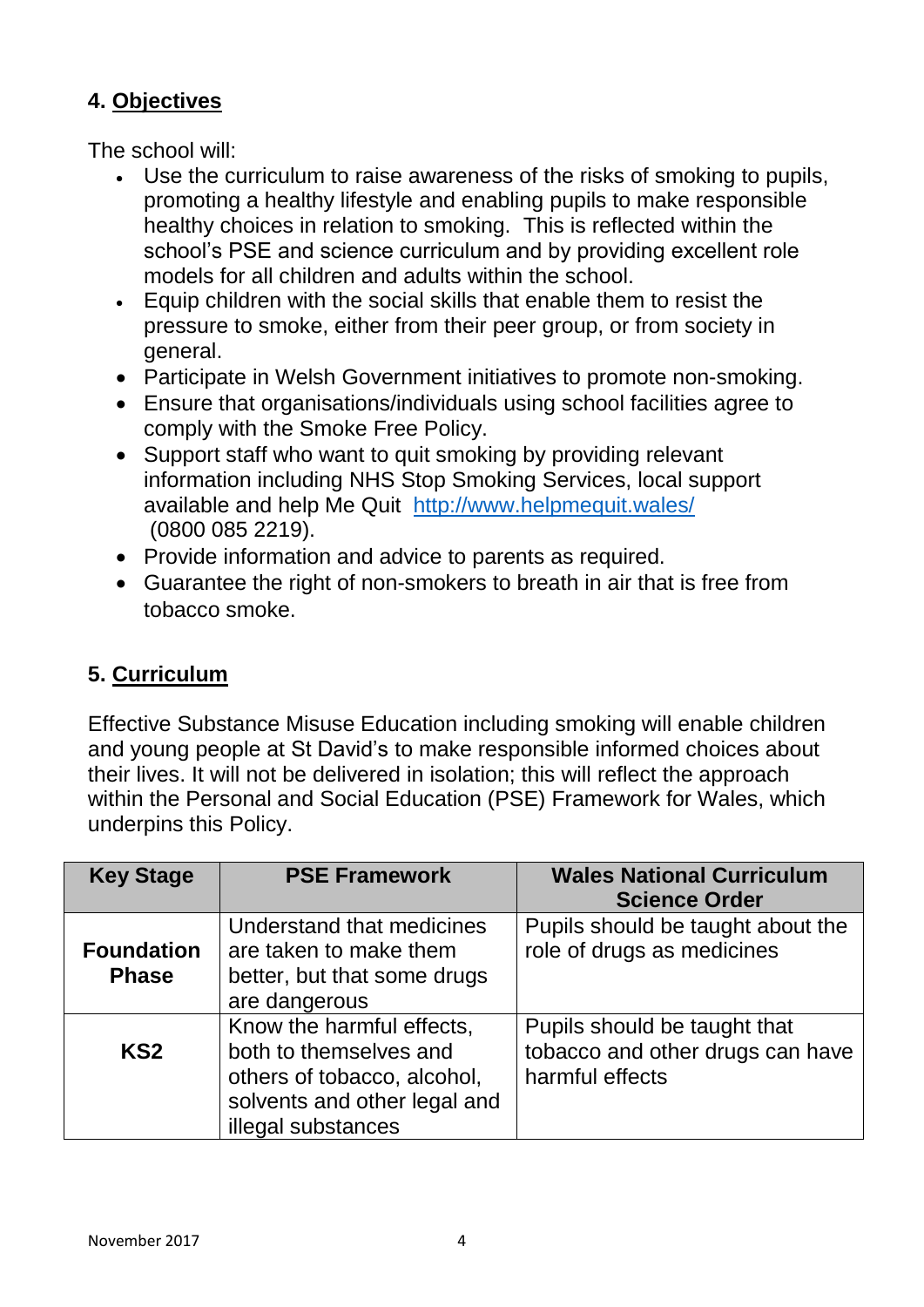## **4. Objectives**

The school will:

- Use the curriculum to raise awareness of the risks of smoking to pupils, promoting a healthy lifestyle and enabling pupils to make responsible healthy choices in relation to smoking. This is reflected within the school's PSE and science curriculum and by providing excellent role models for all children and adults within the school.
- Equip children with the social skills that enable them to resist the pressure to smoke, either from their peer group, or from society in general.
- Participate in Welsh Government initiatives to promote non-smoking.
- Ensure that organisations/individuals using school facilities agree to comply with the Smoke Free Policy.
- Support staff who want to quit smoking by providing relevant information including NHS Stop Smoking Services, local support available and help Me Quit <http://www.helpmequit.wales/> (0800 085 2219).
- Provide information and advice to parents as required.
- Guarantee the right of non-smokers to breath in air that is free from tobacco smoke.

# **5. Curriculum**

Effective Substance Misuse Education including smoking will enable children and young people at St David's to make responsible informed choices about their lives. It will not be delivered in isolation; this will reflect the approach within the Personal and Social Education (PSE) Framework for Wales, which underpins this Policy.

| <b>Key Stage</b>                  | <b>PSE Framework</b>                                                                                                                     | <b>Wales National Curriculum</b><br><b>Science Order</b>                            |
|-----------------------------------|------------------------------------------------------------------------------------------------------------------------------------------|-------------------------------------------------------------------------------------|
| <b>Foundation</b><br><b>Phase</b> | Understand that medicines<br>are taken to make them<br>better, but that some drugs<br>are dangerous                                      | Pupils should be taught about the<br>role of drugs as medicines                     |
| KS <sub>2</sub>                   | Know the harmful effects,<br>both to themselves and<br>others of tobacco, alcohol,<br>solvents and other legal and<br>illegal substances | Pupils should be taught that<br>tobacco and other drugs can have<br>harmful effects |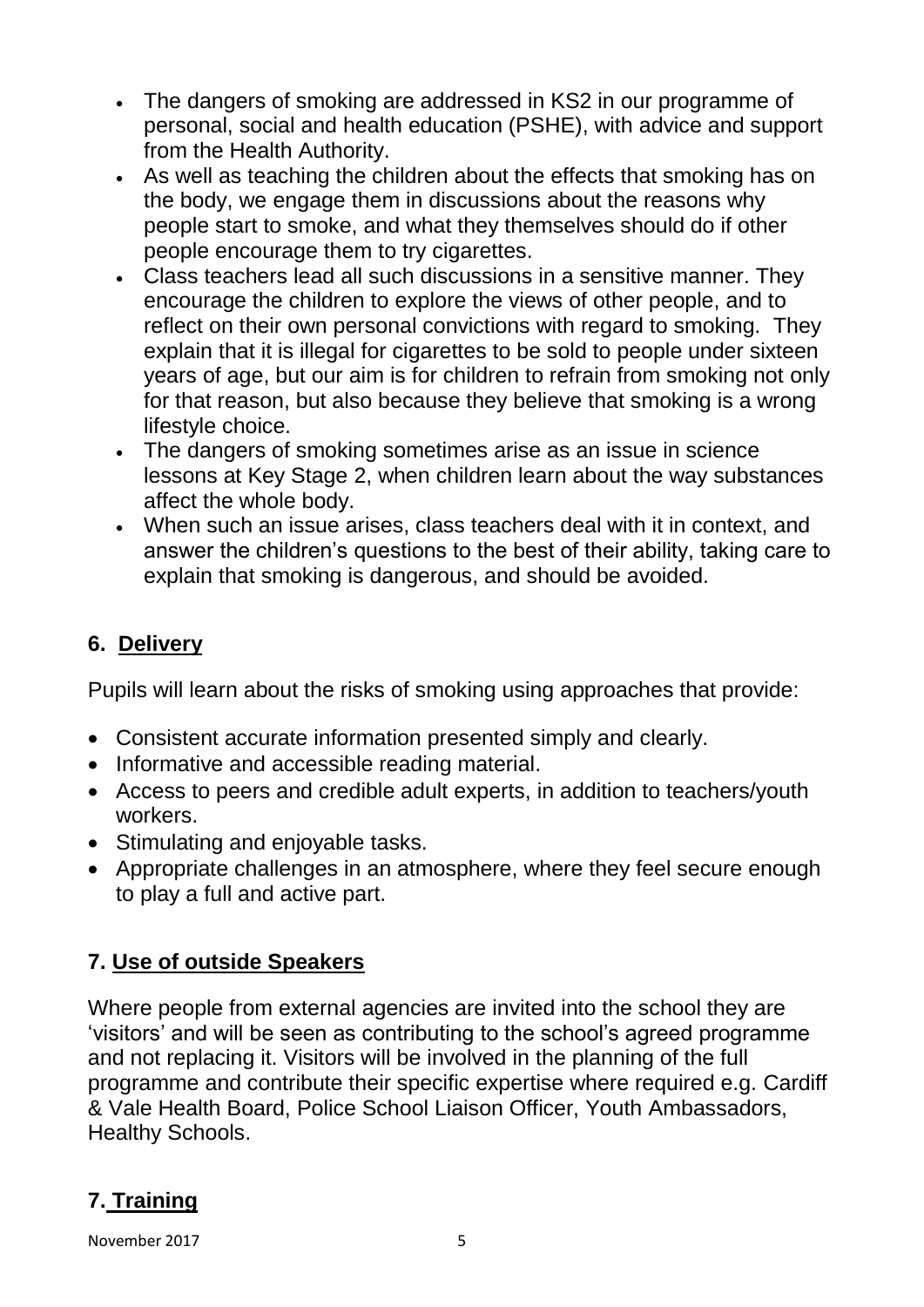- The dangers of smoking are addressed in KS2 in our programme of personal, social and health education (PSHE), with advice and support from the Health Authority.
- As well as teaching the children about the effects that smoking has on the body, we engage them in discussions about the reasons why people start to smoke, and what they themselves should do if other people encourage them to try cigarettes.
- Class teachers lead all such discussions in a sensitive manner. They encourage the children to explore the views of other people, and to reflect on their own personal convictions with regard to smoking. They explain that it is illegal for cigarettes to be sold to people under sixteen years of age, but our aim is for children to refrain from smoking not only for that reason, but also because they believe that smoking is a wrong lifestyle choice.
- The dangers of smoking sometimes arise as an issue in science lessons at Key Stage 2, when children learn about the way substances affect the whole body.
- When such an issue arises, class teachers deal with it in context, and answer the children's questions to the best of their ability, taking care to explain that smoking is dangerous, and should be avoided.

# **6. Delivery**

Pupils will learn about the risks of smoking using approaches that provide:

- Consistent accurate information presented simply and clearly.
- Informative and accessible reading material.
- Access to peers and credible adult experts, in addition to teachers/youth workers.
- Stimulating and enjoyable tasks.
- Appropriate challenges in an atmosphere, where they feel secure enough to play a full and active part.

# **7. Use of outside Speakers**

Where people from external agencies are invited into the school they are 'visitors' and will be seen as contributing to the school's agreed programme and not replacing it. Visitors will be involved in the planning of the full programme and contribute their specific expertise where required e.g. Cardiff & Vale Health Board, Police School Liaison Officer, Youth Ambassadors, Healthy Schools.

# **7. Training**

November 2017 and the state of the SN state of the SN state of the SN state of the SN state of the SN state of the SN state of the SN state of the SN state of the SN state of the SN state of the SN state of the SN state of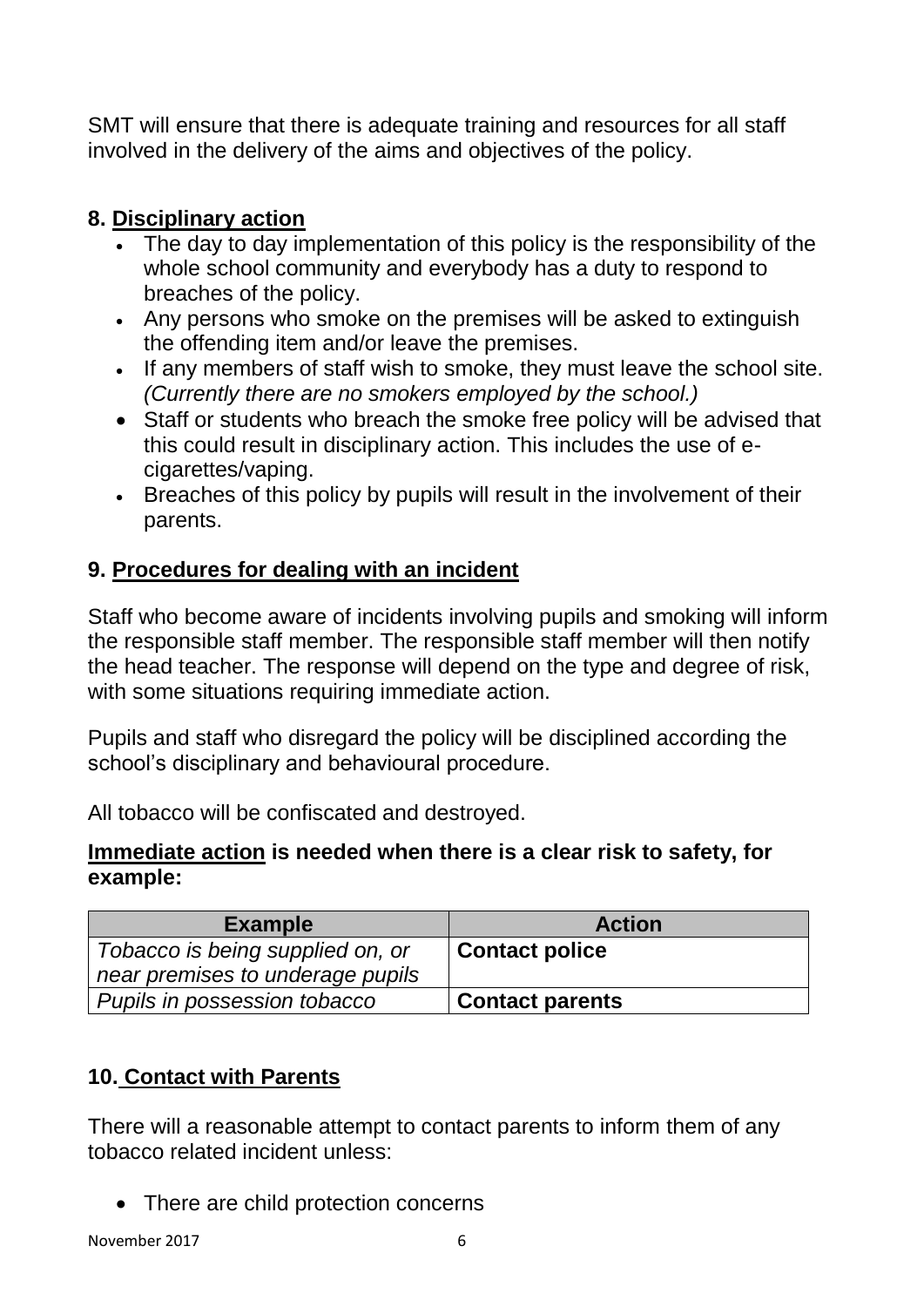SMT will ensure that there is adequate training and resources for all staff involved in the delivery of the aims and objectives of the policy.

# **8. Disciplinary action**

- The day to day implementation of this policy is the responsibility of the whole school community and everybody has a duty to respond to breaches of the policy.
- Any persons who smoke on the premises will be asked to extinguish the offending item and/or leave the premises.
- If any members of staff wish to smoke, they must leave the school site. *(Currently there are no smokers employed by the school.)*
- Staff or students who breach the smoke free policy will be advised that this could result in disciplinary action. This includes the use of ecigarettes/vaping.
- Breaches of this policy by pupils will result in the involvement of their parents.

# **9. Procedures for dealing with an incident**

Staff who become aware of incidents involving pupils and smoking will inform the responsible staff member. The responsible staff member will then notify the head teacher. The response will depend on the type and degree of risk, with some situations requiring immediate action.

Pupils and staff who disregard the policy will be disciplined according the school's disciplinary and behavioural procedure.

All tobacco will be confiscated and destroyed.

### **Immediate action is needed when there is a clear risk to safety, for example:**

| <b>Example</b>                   | <b>Action</b>          |  |
|----------------------------------|------------------------|--|
| Tobacco is being supplied on, or | <b>Contact police</b>  |  |
| near premises to underage pupils |                        |  |
| Pupils in possession tobacco     | <b>Contact parents</b> |  |

## **10. Contact with Parents**

There will a reasonable attempt to contact parents to inform them of any tobacco related incident unless:

• There are child protection concerns

November 2017 and the contract of the contract of the contract of the contract of the contract of the contract of the contract of the contract of the contract of the contract of the contract of the contract of the contract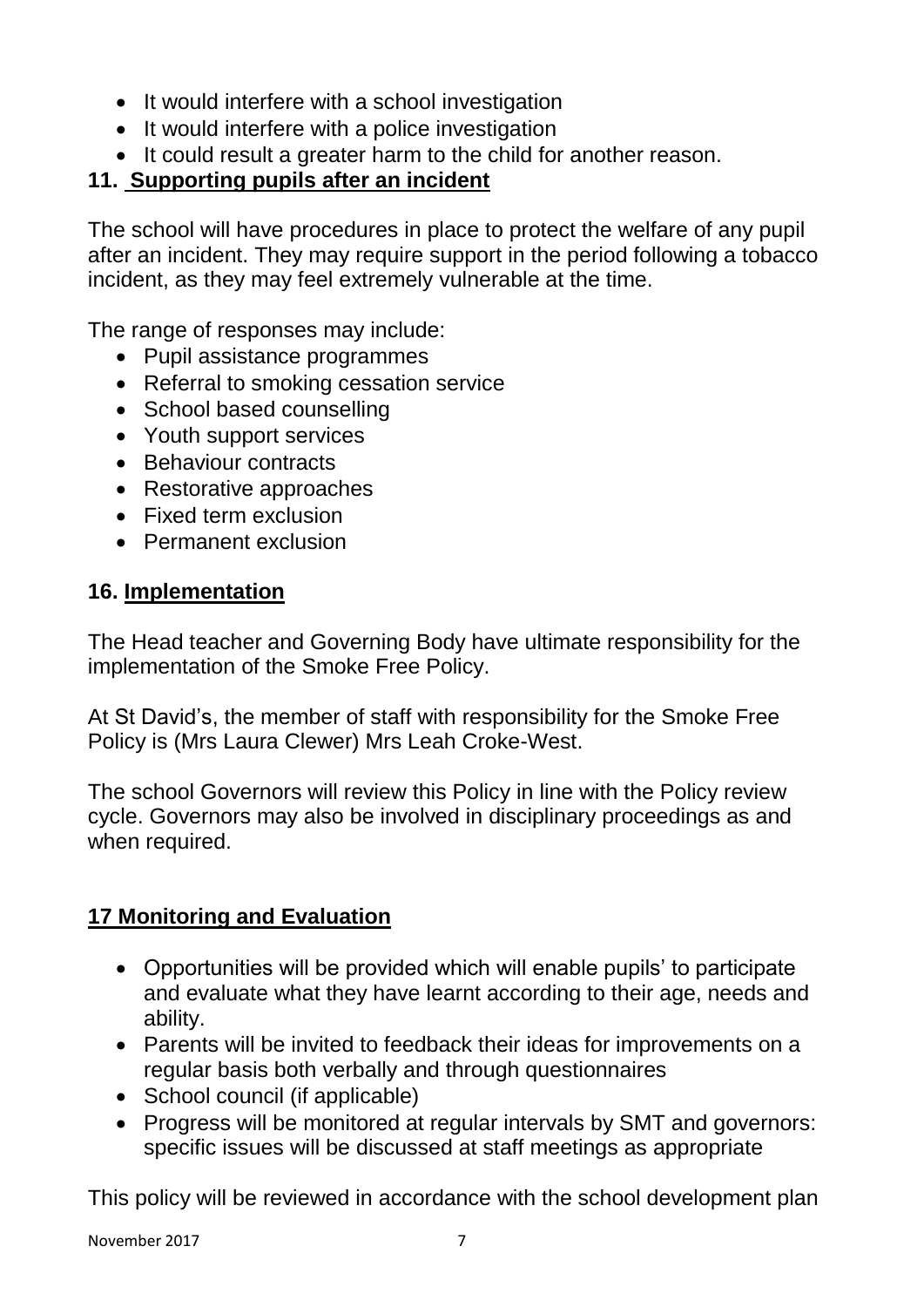- It would interfere with a school investigation
- It would interfere with a police investigation
- It could result a greater harm to the child for another reason.

# **11. Supporting pupils after an incident**

The school will have procedures in place to protect the welfare of any pupil after an incident. They may require support in the period following a tobacco incident, as they may feel extremely vulnerable at the time.

The range of responses may include:

- Pupil assistance programmes
- Referral to smoking cessation service
- School based counselling
- Youth support services
- Behaviour contracts
- Restorative approaches
- Fixed term exclusion
- Permanent exclusion

## **16. Implementation**

The Head teacher and Governing Body have ultimate responsibility for the implementation of the Smoke Free Policy.

At St David's, the member of staff with responsibility for the Smoke Free Policy is (Mrs Laura Clewer) Mrs Leah Croke-West.

The school Governors will review this Policy in line with the Policy review cycle. Governors may also be involved in disciplinary proceedings as and when required.

# **17 Monitoring and Evaluation**

- Opportunities will be provided which will enable pupils' to participate and evaluate what they have learnt according to their age, needs and ability.
- Parents will be invited to feedback their ideas for improvements on a regular basis both verbally and through questionnaires
- School council (if applicable)
- Progress will be monitored at regular intervals by SMT and governors: specific issues will be discussed at staff meetings as appropriate

This policy will be reviewed in accordance with the school development plan